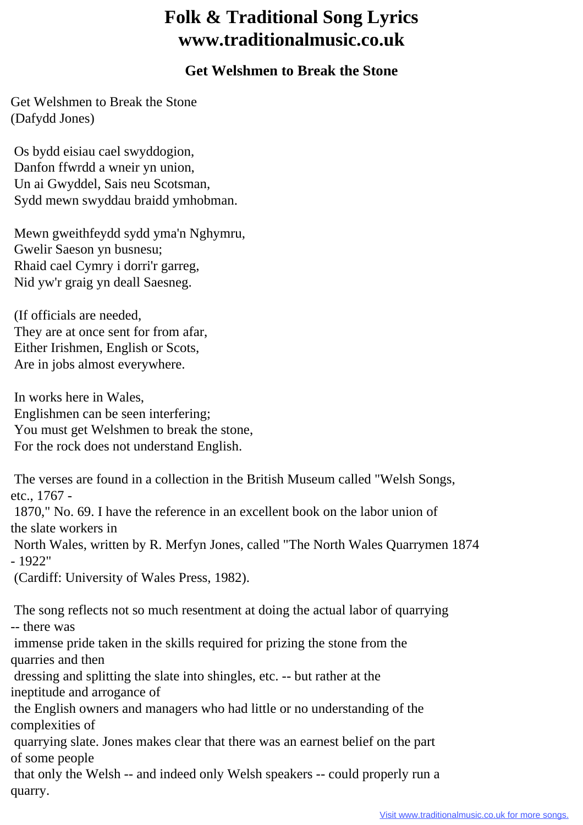## **Folk & Traditional Song Lyrics www.traditionalmusic.co.uk**

## **Get Welshmen to Break the Stone**

Get Welshmen to Break the Stone (Dafydd Jones)

 Os bydd eisiau cael swyddogion, Danfon ffwrdd a wneir yn union, Un ai Gwyddel, Sais neu Scotsman, Sydd mewn swyddau braidd ymhobman.

 Mewn gweithfeydd sydd yma'n Nghymru, Gwelir Saeson yn busnesu; Rhaid cael Cymry i dorri'r garreg, Nid yw'r graig yn deall Saesneg.

 (If officials are needed, They are at once sent for from afar, Either Irishmen, English or Scots, Are in jobs almost everywhere.

 In works here in Wales, Englishmen can be seen interfering; You must get Welshmen to break the stone, For the rock does not understand English.

 The verses are found in a collection in the British Museum called "Welsh Songs, etc., 1767 -

 1870," No. 69. I have the reference in an excellent book on the labor union of the slate workers in

 North Wales, written by R. Merfyn Jones, called "The North Wales Quarrymen 1874 - 1922"

(Cardiff: University of Wales Press, 1982).

 The song reflects not so much resentment at doing the actual labor of quarrying -- there was

 immense pride taken in the skills required for prizing the stone from the quarries and then

 dressing and splitting the slate into shingles, etc. -- but rather at the ineptitude and arrogance of

 the English owners and managers who had little or no understanding of the complexities of

 quarrying slate. Jones makes clear that there was an earnest belief on the part of some people

 that only the Welsh -- and indeed only Welsh speakers -- could properly run a quarry.